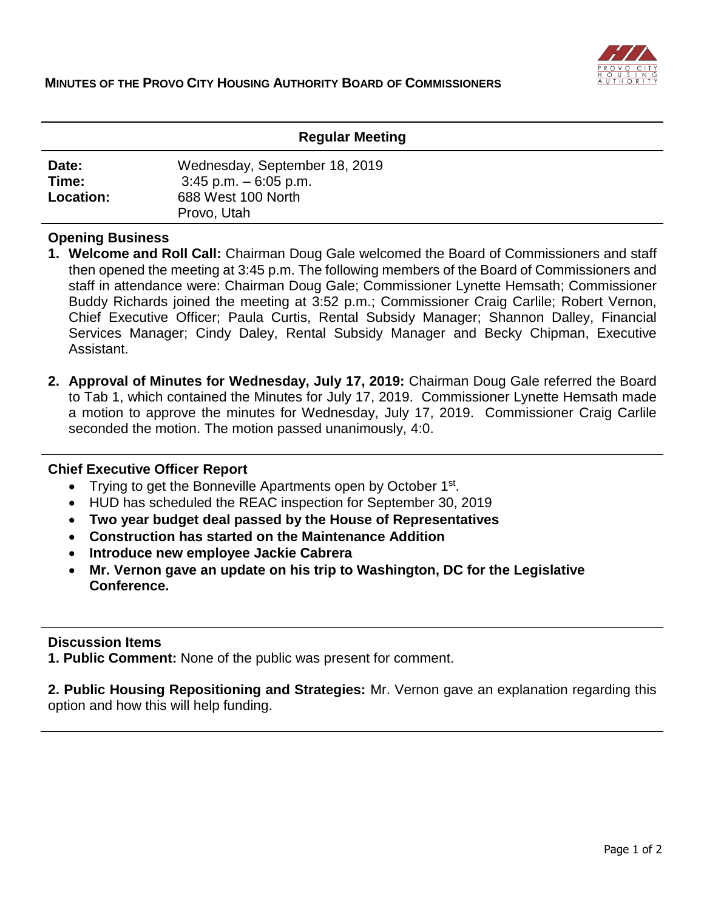

### **Regular Meeting**

| Date:            | Wednesday, September 18, 2019 |
|------------------|-------------------------------|
| Time:            | $3:45$ p.m. $-6:05$ p.m.      |
| <b>Location:</b> | 688 West 100 North            |
|                  | Provo, Utah                   |

#### **Opening Business**

- **1. Welcome and Roll Call:** Chairman Doug Gale welcomed the Board of Commissioners and staff then opened the meeting at 3:45 p.m. The following members of the Board of Commissioners and staff in attendance were: Chairman Doug Gale; Commissioner Lynette Hemsath; Commissioner Buddy Richards joined the meeting at 3:52 p.m.; Commissioner Craig Carlile; Robert Vernon, Chief Executive Officer; Paula Curtis, Rental Subsidy Manager; Shannon Dalley, Financial Services Manager; Cindy Daley, Rental Subsidy Manager and Becky Chipman, Executive Assistant.
- **2. Approval of Minutes for Wednesday, July 17, 2019:** Chairman Doug Gale referred the Board to Tab 1, which contained the Minutes for July 17, 2019. Commissioner Lynette Hemsath made a motion to approve the minutes for Wednesday, July 17, 2019. Commissioner Craig Carlile seconded the motion. The motion passed unanimously, 4:0.

#### **Chief Executive Officer Report**

- Trying to get the Bonneville Apartments open by October 1<sup>st</sup>.
- HUD has scheduled the REAC inspection for September 30, 2019
- **Two year budget deal passed by the House of Representatives**
- **Construction has started on the Maintenance Addition**
- **Introduce new employee Jackie Cabrera**
- **Mr. Vernon gave an update on his trip to Washington, DC for the Legislative Conference.**

## **Discussion Items**

**1. Public Comment:** None of the public was present for comment.

**2. Public Housing Repositioning and Strategies:** Mr. Vernon gave an explanation regarding this option and how this will help funding.